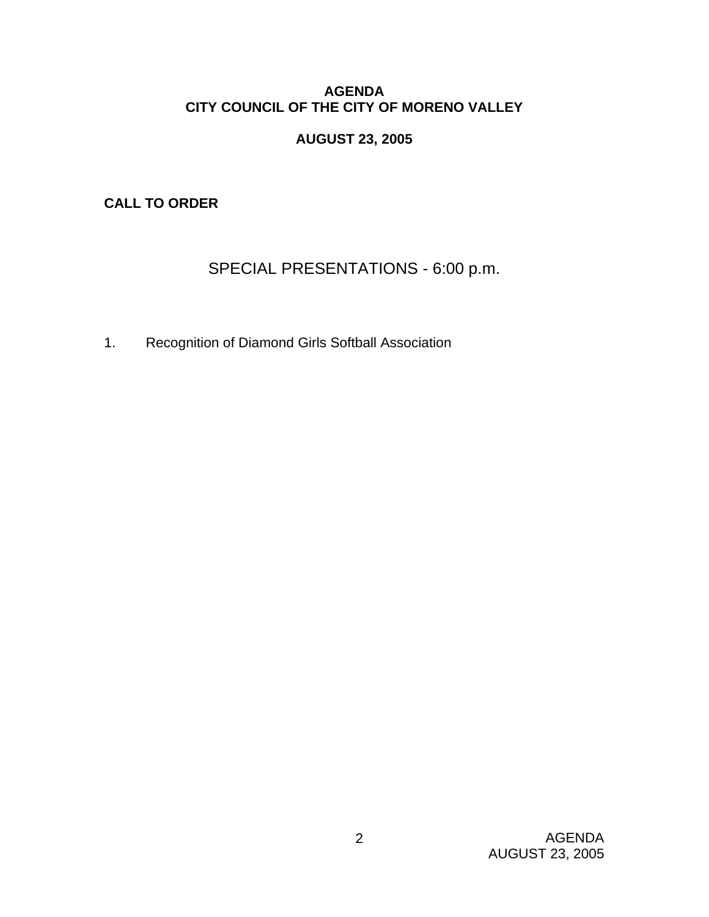# **AGENDA CITY COUNCIL OF THE CITY OF MORENO VALLEY**

# **AUGUST 23, 2005**

**CALL TO ORDER** 

# SPECIAL PRESENTATIONS - 6:00 p.m.

1. Recognition of Diamond Girls Softball Association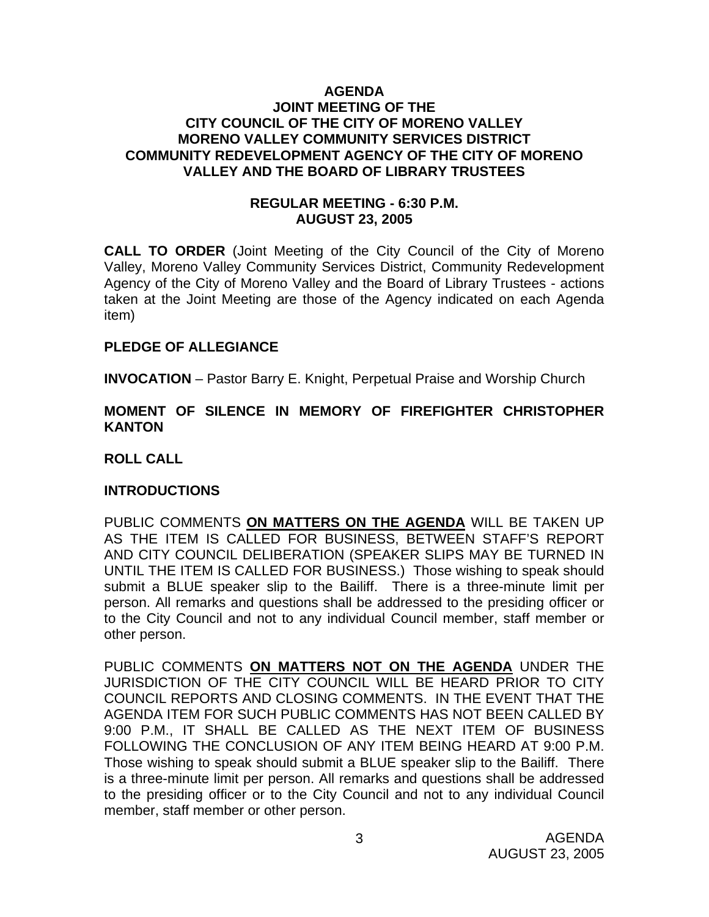#### **AGENDA JOINT MEETING OF THE CITY COUNCIL OF THE CITY OF MORENO VALLEY MORENO VALLEY COMMUNITY SERVICES DISTRICT COMMUNITY REDEVELOPMENT AGENCY OF THE CITY OF MORENO VALLEY AND THE BOARD OF LIBRARY TRUSTEES**

### **REGULAR MEETING - 6:30 P.M. AUGUST 23, 2005**

**CALL TO ORDER** (Joint Meeting of the City Council of the City of Moreno Valley, Moreno Valley Community Services District, Community Redevelopment Agency of the City of Moreno Valley and the Board of Library Trustees - actions taken at the Joint Meeting are those of the Agency indicated on each Agenda item)

### **PLEDGE OF ALLEGIANCE**

**INVOCATION** – Pastor Barry E. Knight, Perpetual Praise and Worship Church

#### **MOMENT OF SILENCE IN MEMORY OF FIREFIGHTER CHRISTOPHER KANTON**

**ROLL CALL** 

### **INTRODUCTIONS**

PUBLIC COMMENTS **ON MATTERS ON THE AGENDA** WILL BE TAKEN UP AS THE ITEM IS CALLED FOR BUSINESS, BETWEEN STAFF'S REPORT AND CITY COUNCIL DELIBERATION (SPEAKER SLIPS MAY BE TURNED IN UNTIL THE ITEM IS CALLED FOR BUSINESS.) Those wishing to speak should submit a BLUE speaker slip to the Bailiff. There is a three-minute limit per person. All remarks and questions shall be addressed to the presiding officer or to the City Council and not to any individual Council member, staff member or other person.

PUBLIC COMMENTS **ON MATTERS NOT ON THE AGENDA** UNDER THE JURISDICTION OF THE CITY COUNCIL WILL BE HEARD PRIOR TO CITY COUNCIL REPORTS AND CLOSING COMMENTS. IN THE EVENT THAT THE AGENDA ITEM FOR SUCH PUBLIC COMMENTS HAS NOT BEEN CALLED BY 9:00 P.M., IT SHALL BE CALLED AS THE NEXT ITEM OF BUSINESS FOLLOWING THE CONCLUSION OF ANY ITEM BEING HEARD AT 9:00 P.M. Those wishing to speak should submit a BLUE speaker slip to the Bailiff. There is a three-minute limit per person. All remarks and questions shall be addressed to the presiding officer or to the City Council and not to any individual Council member, staff member or other person.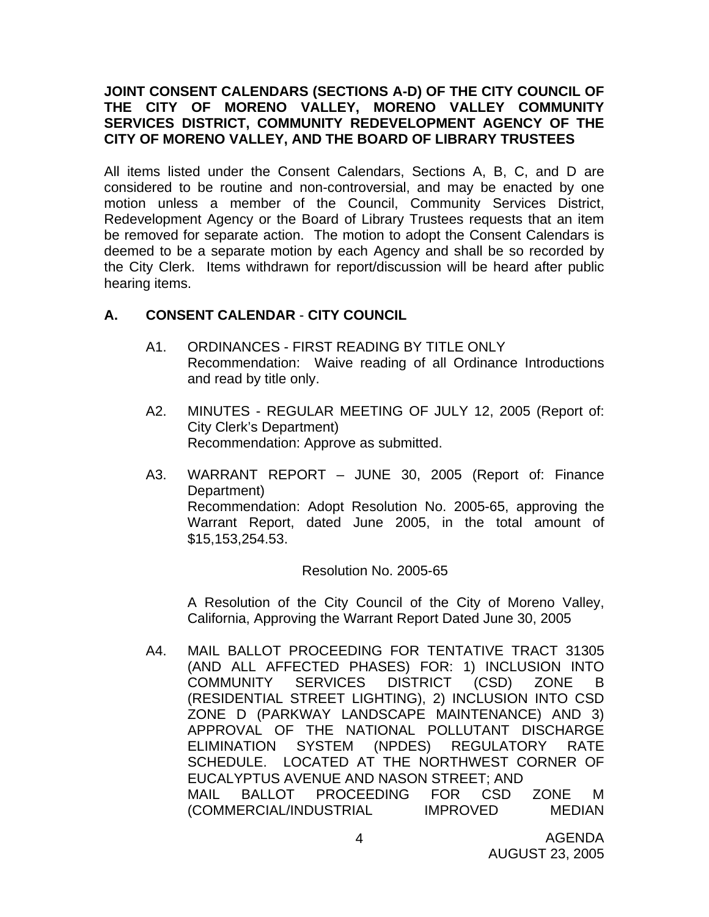### **JOINT CONSENT CALENDARS (SECTIONS A-D) OF THE CITY COUNCIL OF THE CITY OF MORENO VALLEY, MORENO VALLEY COMMUNITY SERVICES DISTRICT, COMMUNITY REDEVELOPMENT AGENCY OF THE CITY OF MORENO VALLEY, AND THE BOARD OF LIBRARY TRUSTEES**

All items listed under the Consent Calendars, Sections A, B, C, and D are considered to be routine and non-controversial, and may be enacted by one motion unless a member of the Council, Community Services District, Redevelopment Agency or the Board of Library Trustees requests that an item be removed for separate action. The motion to adopt the Consent Calendars is deemed to be a separate motion by each Agency and shall be so recorded by the City Clerk. Items withdrawn for report/discussion will be heard after public hearing items.

# **A. CONSENT CALENDAR** - **CITY COUNCIL**

- A1. ORDINANCES FIRST READING BY TITLE ONLY Recommendation: Waive reading of all Ordinance Introductions and read by title only.
- A2. MINUTES REGULAR MEETING OF JULY 12, 2005 (Report of: City Clerk's Department) Recommendation: Approve as submitted.
- A3. WARRANT REPORT JUNE 30, 2005 (Report of: Finance Department) Recommendation: Adopt Resolution No. 2005-65, approving the Warrant Report, dated June 2005, in the total amount of \$15,153,254.53.

### Resolution No. 2005-65

 A Resolution of the City Council of the City of Moreno Valley, California, Approving the Warrant Report Dated June 30, 2005

A4. MAIL BALLOT PROCEEDING FOR TENTATIVE TRACT 31305 (AND ALL AFFECTED PHASES) FOR: 1) INCLUSION INTO COMMUNITY SERVICES DISTRICT (CSD) ZONE B (RESIDENTIAL STREET LIGHTING), 2) INCLUSION INTO CSD ZONE D (PARKWAY LANDSCAPE MAINTENANCE) AND 3) APPROVAL OF THE NATIONAL POLLUTANT DISCHARGE ELIMINATION SYSTEM (NPDES) REGULATORY RATE SCHEDULE. LOCATED AT THE NORTHWEST CORNER OF EUCALYPTUS AVENUE AND NASON STREET; AND MAIL BALLOT PROCEEDING FOR CSD ZONE M (COMMERCIAL/INDUSTRIAL IMPROVED MEDIAN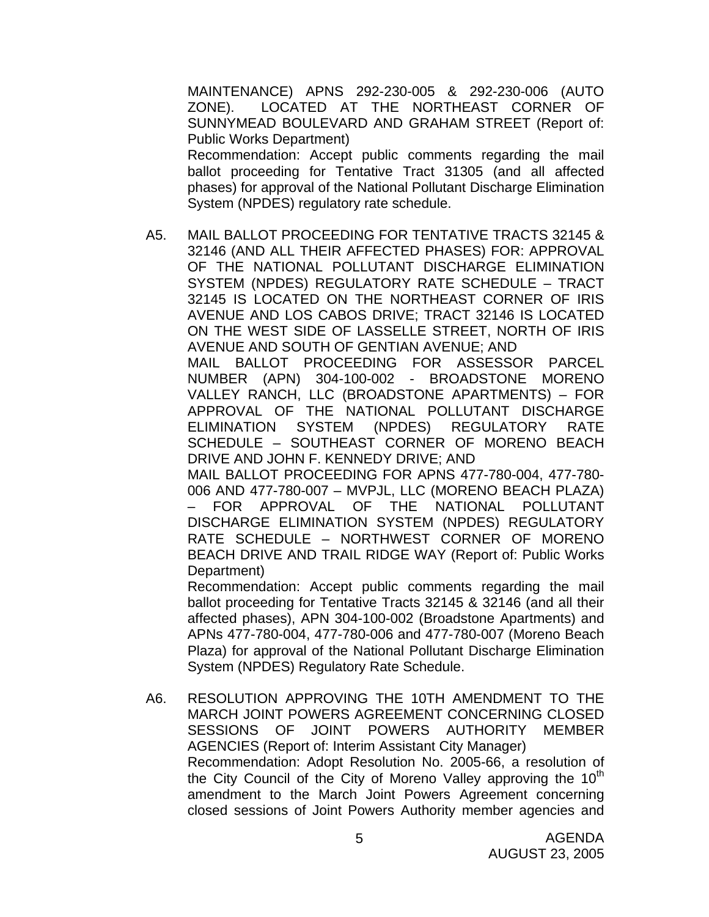MAINTENANCE) APNS 292-230-005 & 292-230-006 (AUTO ZONE). LOCATED AT THE NORTHEAST CORNER OF SUNNYMEAD BOULEVARD AND GRAHAM STREET (Report of: Public Works Department) Recommendation: Accept public comments regarding the mail ballot proceeding for Tentative Tract 31305 (and all affected phases) for approval of the National Pollutant Discharge Elimination System (NPDES) regulatory rate schedule.

A5. MAIL BALLOT PROCEEDING FOR TENTATIVE TRACTS 32145 & 32146 (AND ALL THEIR AFFECTED PHASES) FOR: APPROVAL OF THE NATIONAL POLLUTANT DISCHARGE ELIMINATION SYSTEM (NPDES) REGULATORY RATE SCHEDULE – TRACT 32145 IS LOCATED ON THE NORTHEAST CORNER OF IRIS AVENUE AND LOS CABOS DRIVE; TRACT 32146 IS LOCATED ON THE WEST SIDE OF LASSELLE STREET, NORTH OF IRIS AVENUE AND SOUTH OF GENTIAN AVENUE; AND MAIL BALLOT PROCEEDING FOR ASSESSOR PARCEL NUMBER (APN) 304-100-002 - BROADSTONE MORENO

VALLEY RANCH, LLC (BROADSTONE APARTMENTS) – FOR APPROVAL OF THE NATIONAL POLLUTANT DISCHARGE ELIMINATION SYSTEM (NPDES) REGULATORY RATE SCHEDULE – SOUTHEAST CORNER OF MORENO BEACH DRIVE AND JOHN F. KENNEDY DRIVE; AND

MAIL BALLOT PROCEEDING FOR APNS 477-780-004, 477-780- 006 AND 477-780-007 – MVPJL, LLC (MORENO BEACH PLAZA) – FOR APPROVAL OF THE NATIONAL POLLUTANT DISCHARGE ELIMINATION SYSTEM (NPDES) REGULATORY RATE SCHEDULE – NORTHWEST CORNER OF MORENO BEACH DRIVE AND TRAIL RIDGE WAY (Report of: Public Works Department)

 Recommendation: Accept public comments regarding the mail ballot proceeding for Tentative Tracts 32145 & 32146 (and all their affected phases), APN 304-100-002 (Broadstone Apartments) and APNs 477-780-004, 477-780-006 and 477-780-007 (Moreno Beach Plaza) for approval of the National Pollutant Discharge Elimination System (NPDES) Regulatory Rate Schedule.

A6. RESOLUTION APPROVING THE 10TH AMENDMENT TO THE MARCH JOINT POWERS AGREEMENT CONCERNING CLOSED SESSIONS OF JOINT POWERS AUTHORITY MEMBER AGENCIES (Report of: Interim Assistant City Manager) Recommendation: Adopt Resolution No. 2005-66, a resolution of the City Council of the City of Moreno Valley approving the  $10<sup>th</sup>$ amendment to the March Joint Powers Agreement concerning closed sessions of Joint Powers Authority member agencies and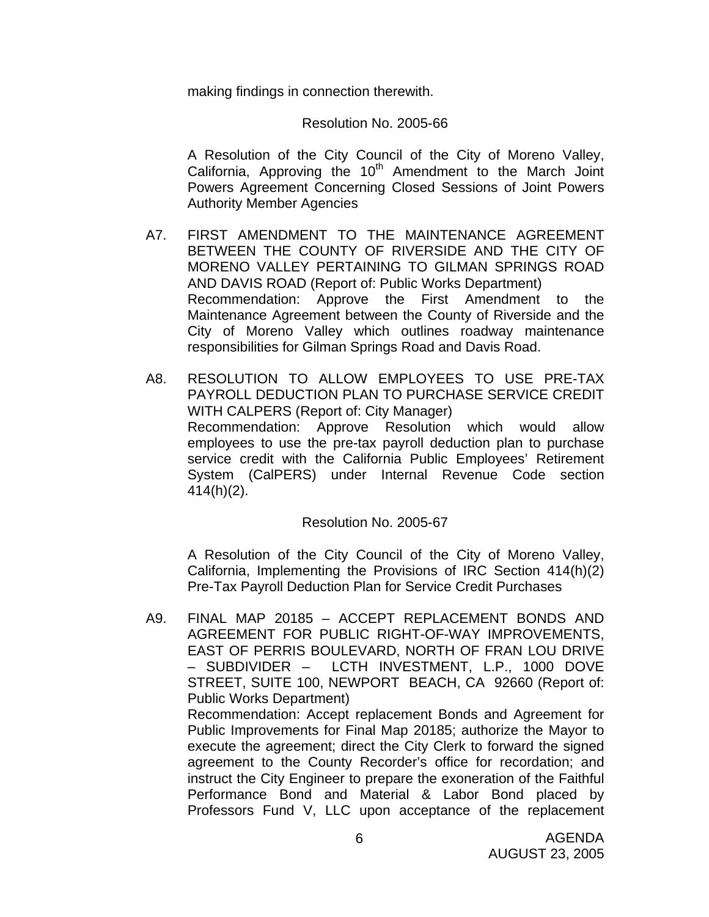making findings in connection therewith.

#### Resolution No. 2005-66

 A Resolution of the City Council of the City of Moreno Valley, California, Approving the  $10<sup>th</sup>$  Amendment to the March Joint Powers Agreement Concerning Closed Sessions of Joint Powers Authority Member Agencies

- A7. FIRST AMENDMENT TO THE MAINTENANCE AGREEMENT BETWEEN THE COUNTY OF RIVERSIDE AND THE CITY OF MORENO VALLEY PERTAINING TO GILMAN SPRINGS ROAD AND DAVIS ROAD (Report of: Public Works Department) Recommendation: Approve the First Amendment to the Maintenance Agreement between the County of Riverside and the City of Moreno Valley which outlines roadway maintenance responsibilities for Gilman Springs Road and Davis Road.
- A8. RESOLUTION TO ALLOW EMPLOYEES TO USE PRE-TAX PAYROLL DEDUCTION PLAN TO PURCHASE SERVICE CREDIT WITH CALPERS (Report of: City Manager) Recommendation: Approve Resolution which would allow employees to use the pre-tax payroll deduction plan to purchase service credit with the California Public Employees' Retirement System (CalPERS) under Internal Revenue Code section 414(h)(2).

#### Resolution No. 2005-67

 A Resolution of the City Council of the City of Moreno Valley, California, Implementing the Provisions of IRC Section 414(h)(2) Pre-Tax Payroll Deduction Plan for Service Credit Purchases

A9. FINAL MAP 20185 – ACCEPT REPLACEMENT BONDS AND AGREEMENT FOR PUBLIC RIGHT-OF-WAY IMPROVEMENTS, EAST OF PERRIS BOULEVARD, NORTH OF FRAN LOU DRIVE – SUBDIVIDER – LCTH INVESTMENT, L.P., 1000 DOVE STREET, SUITE 100, NEWPORT BEACH, CA 92660 (Report of: Public Works Department) Recommendation: Accept replacement Bonds and Agreement for Public Improvements for Final Map 20185; authorize the Mayor to execute the agreement; direct the City Clerk to forward the signed agreement to the County Recorder's office for recordation; and instruct the City Engineer to prepare the exoneration of the Faithful Performance Bond and Material & Labor Bond placed by Professors Fund V, LLC upon acceptance of the replacement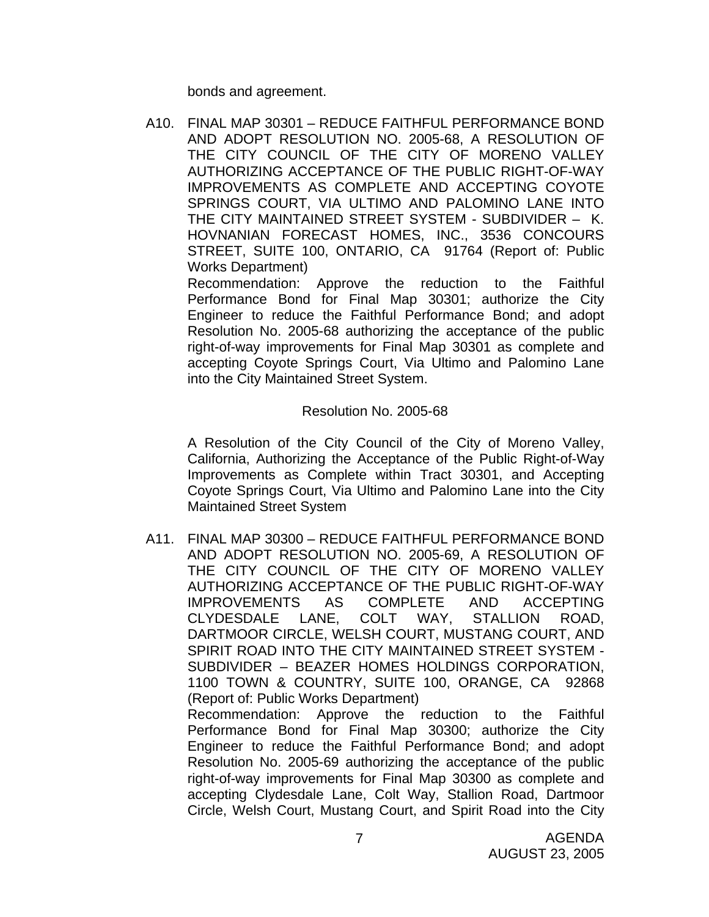bonds and agreement.

A10. FINAL MAP 30301 – REDUCE FAITHFUL PERFORMANCE BOND AND ADOPT RESOLUTION NO. 2005-68, A RESOLUTION OF THE CITY COUNCIL OF THE CITY OF MORENO VALLEY AUTHORIZING ACCEPTANCE OF THE PUBLIC RIGHT-OF-WAY IMPROVEMENTS AS COMPLETE AND ACCEPTING COYOTE SPRINGS COURT, VIA ULTIMO AND PALOMINO LANE INTO THE CITY MAINTAINED STREET SYSTEM - SUBDIVIDER – K. HOVNANIAN FORECAST HOMES, INC., 3536 CONCOURS STREET, SUITE 100, ONTARIO, CA 91764 (Report of: Public Works Department)

 Recommendation: Approve the reduction to the Faithful Performance Bond for Final Map 30301; authorize the City Engineer to reduce the Faithful Performance Bond; and adopt Resolution No. 2005-68 authorizing the acceptance of the public right-of-way improvements for Final Map 30301 as complete and accepting Coyote Springs Court, Via Ultimo and Palomino Lane into the City Maintained Street System.

#### Resolution No. 2005-68

 A Resolution of the City Council of the City of Moreno Valley, California, Authorizing the Acceptance of the Public Right-of-Way Improvements as Complete within Tract 30301, and Accepting Coyote Springs Court, Via Ultimo and Palomino Lane into the City Maintained Street System

A11. FINAL MAP 30300 – REDUCE FAITHFUL PERFORMANCE BOND AND ADOPT RESOLUTION NO. 2005-69, A RESOLUTION OF THE CITY COUNCIL OF THE CITY OF MORENO VALLEY AUTHORIZING ACCEPTANCE OF THE PUBLIC RIGHT-OF-WAY IMPROVEMENTS AS COMPLETE AND ACCEPTING CLYDESDALE LANE, COLT WAY, STALLION ROAD, DARTMOOR CIRCLE, WELSH COURT, MUSTANG COURT, AND SPIRIT ROAD INTO THE CITY MAINTAINED STREET SYSTEM - SUBDIVIDER – BEAZER HOMES HOLDINGS CORPORATION, 1100 TOWN & COUNTRY, SUITE 100, ORANGE, CA 92868 (Report of: Public Works Department) Recommendation: Approve the reduction to the Faithful Performance Bond for Final Map 30300; authorize the City Engineer to reduce the Faithful Performance Bond; and adopt

Resolution No. 2005-69 authorizing the acceptance of the public right-of-way improvements for Final Map 30300 as complete and accepting Clydesdale Lane, Colt Way, Stallion Road, Dartmoor Circle, Welsh Court, Mustang Court, and Spirit Road into the City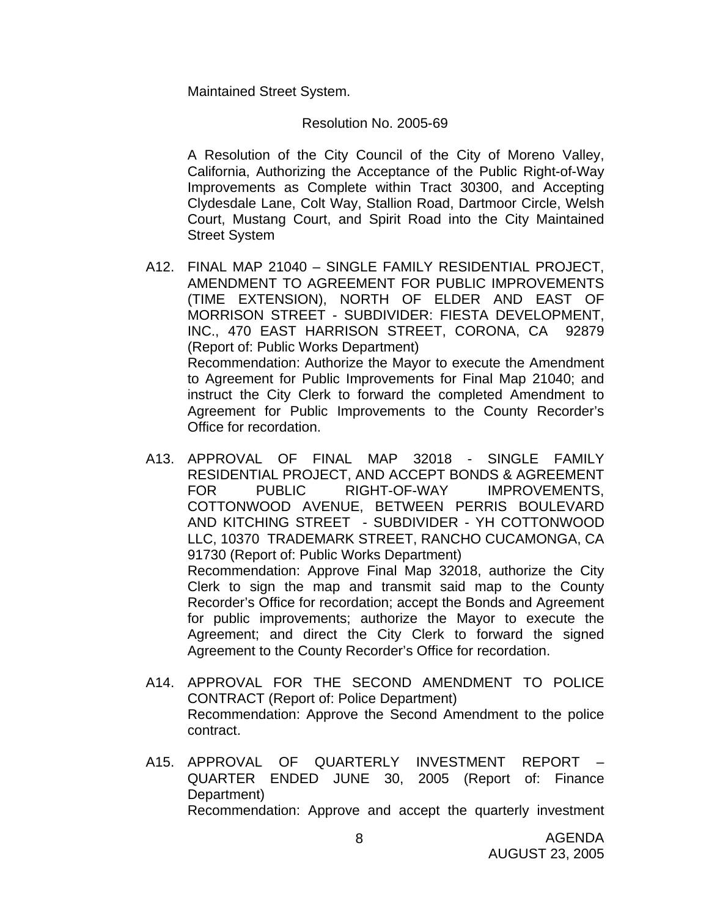Maintained Street System.

#### Resolution No. 2005-69

 A Resolution of the City Council of the City of Moreno Valley, California, Authorizing the Acceptance of the Public Right-of-Way Improvements as Complete within Tract 30300, and Accepting Clydesdale Lane, Colt Way, Stallion Road, Dartmoor Circle, Welsh Court, Mustang Court, and Spirit Road into the City Maintained Street System

- A12. FINAL MAP 21040 SINGLE FAMILY RESIDENTIAL PROJECT, AMENDMENT TO AGREEMENT FOR PUBLIC IMPROVEMENTS (TIME EXTENSION), NORTH OF ELDER AND EAST OF MORRISON STREET - SUBDIVIDER: FIESTA DEVELOPMENT, INC., 470 EAST HARRISON STREET, CORONA, CA 92879 (Report of: Public Works Department) Recommendation: Authorize the Mayor to execute the Amendment to Agreement for Public Improvements for Final Map 21040; and instruct the City Clerk to forward the completed Amendment to Agreement for Public Improvements to the County Recorder's Office for recordation.
- A13. APPROVAL OF FINAL MAP 32018 SINGLE FAMILY RESIDENTIAL PROJECT, AND ACCEPT BONDS & AGREEMENT FOR PUBLIC RIGHT-OF-WAY IMPROVEMENTS, COTTONWOOD AVENUE, BETWEEN PERRIS BOULEVARD AND KITCHING STREET - SUBDIVIDER - YH COTTONWOOD LLC, 10370 TRADEMARK STREET, RANCHO CUCAMONGA, CA 91730 (Report of: Public Works Department) Recommendation: Approve Final Map 32018, authorize the City Clerk to sign the map and transmit said map to the County Recorder's Office for recordation; accept the Bonds and Agreement for public improvements; authorize the Mayor to execute the Agreement; and direct the City Clerk to forward the signed Agreement to the County Recorder's Office for recordation.
- A14. APPROVAL FOR THE SECOND AMENDMENT TO POLICE CONTRACT (Report of: Police Department) Recommendation: Approve the Second Amendment to the police contract.
- A15. APPROVAL OF QUARTERLY INVESTMENT REPORT QUARTER ENDED JUNE 30, 2005 (Report of: Finance Department) Recommendation: Approve and accept the quarterly investment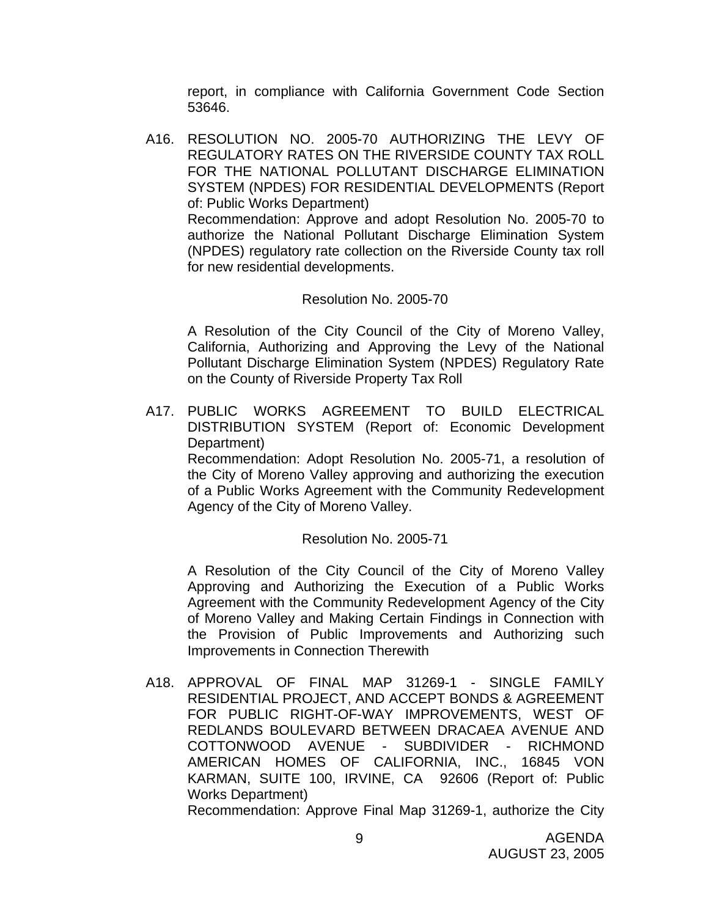report, in compliance with California Government Code Section 53646.

A16. RESOLUTION NO. 2005-70 AUTHORIZING THE LEVY OF REGULATORY RATES ON THE RIVERSIDE COUNTY TAX ROLL FOR THE NATIONAL POLLUTANT DISCHARGE ELIMINATION SYSTEM (NPDES) FOR RESIDENTIAL DEVELOPMENTS (Report of: Public Works Department)

 Recommendation: Approve and adopt Resolution No. 2005-70 to authorize the National Pollutant Discharge Elimination System (NPDES) regulatory rate collection on the Riverside County tax roll for new residential developments.

### Resolution No. 2005-70

 A Resolution of the City Council of the City of Moreno Valley, California, Authorizing and Approving the Levy of the National Pollutant Discharge Elimination System (NPDES) Regulatory Rate on the County of Riverside Property Tax Roll

A17. PUBLIC WORKS AGREEMENT TO BUILD ELECTRICAL DISTRIBUTION SYSTEM (Report of: Economic Development Department)

 Recommendation: Adopt Resolution No. 2005-71, a resolution of the City of Moreno Valley approving and authorizing the execution of a Public Works Agreement with the Community Redevelopment Agency of the City of Moreno Valley.

### Resolution No. 2005-71

 A Resolution of the City Council of the City of Moreno Valley Approving and Authorizing the Execution of a Public Works Agreement with the Community Redevelopment Agency of the City of Moreno Valley and Making Certain Findings in Connection with the Provision of Public Improvements and Authorizing such Improvements in Connection Therewith

A18. APPROVAL OF FINAL MAP 31269-1 - SINGLE FAMILY RESIDENTIAL PROJECT, AND ACCEPT BONDS & AGREEMENT FOR PUBLIC RIGHT-OF-WAY IMPROVEMENTS, WEST OF REDLANDS BOULEVARD BETWEEN DRACAEA AVENUE AND COTTONWOOD AVENUE - SUBDIVIDER - RICHMOND AMERICAN HOMES OF CALIFORNIA, INC., 16845 VON KARMAN, SUITE 100, IRVINE, CA 92606 (Report of: Public Works Department)

Recommendation: Approve Final Map 31269-1, authorize the City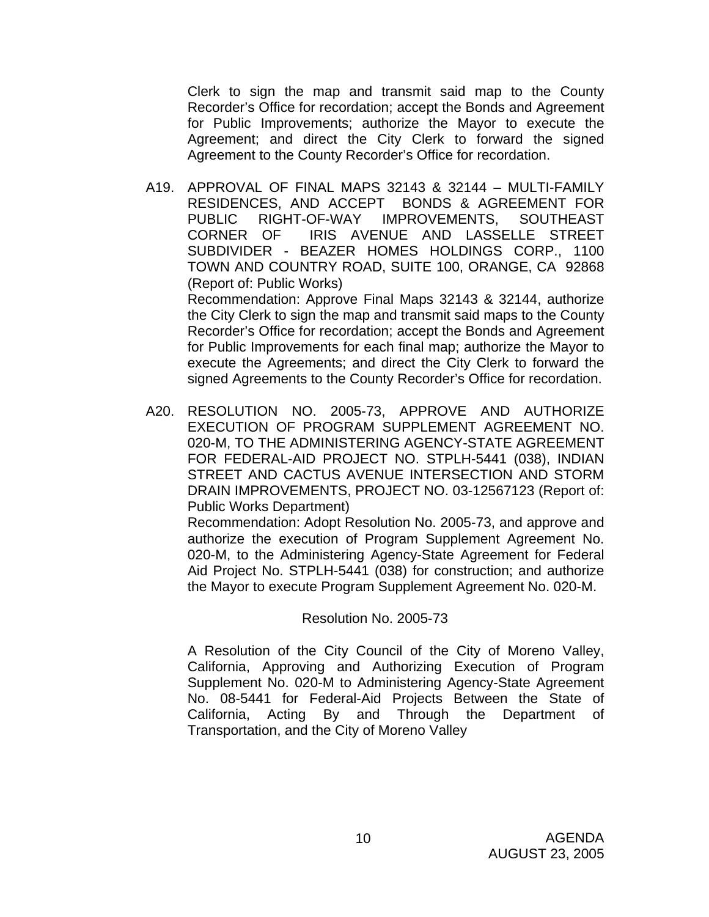Clerk to sign the map and transmit said map to the County Recorder's Office for recordation; accept the Bonds and Agreement for Public Improvements; authorize the Mayor to execute the Agreement; and direct the City Clerk to forward the signed Agreement to the County Recorder's Office for recordation.

A19. APPROVAL OF FINAL MAPS 32143 & 32144 – MULTI-FAMILY RESIDENCES, AND ACCEPT BONDS & AGREEMENT FOR PUBLIC RIGHT-OF-WAY IMPROVEMENTS, SOUTHEAST CORNER OF IRIS AVENUE AND LASSELLE STREET SUBDIVIDER - BEAZER HOMES HOLDINGS CORP., 1100 TOWN AND COUNTRY ROAD, SUITE 100, ORANGE, CA 92868 (Report of: Public Works) Recommendation: Approve Final Maps 32143 & 32144, authorize the City Clerk to sign the map and transmit said maps to the County Recorder's Office for recordation; accept the Bonds and Agreement

for Public Improvements for each final map; authorize the Mayor to execute the Agreements; and direct the City Clerk to forward the signed Agreements to the County Recorder's Office for recordation.

A20. RESOLUTION NO. 2005-73, APPROVE AND AUTHORIZE EXECUTION OF PROGRAM SUPPLEMENT AGREEMENT NO. 020-M, TO THE ADMINISTERING AGENCY-STATE AGREEMENT FOR FEDERAL-AID PROJECT NO. STPLH-5441 (038), INDIAN STREET AND CACTUS AVENUE INTERSECTION AND STORM DRAIN IMPROVEMENTS, PROJECT NO. 03-12567123 (Report of: Public Works Department)

 Recommendation: Adopt Resolution No. 2005-73, and approve and authorize the execution of Program Supplement Agreement No. 020-M, to the Administering Agency-State Agreement for Federal Aid Project No. STPLH-5441 (038) for construction; and authorize the Mayor to execute Program Supplement Agreement No. 020-M.

#### Resolution No. 2005-73

A Resolution of the City Council of the City of Moreno Valley, California, Approving and Authorizing Execution of Program Supplement No. 020-M to Administering Agency-State Agreement No. 08-5441 for Federal-Aid Projects Between the State of California, Acting By and Through the Department of Transportation, and the City of Moreno Valley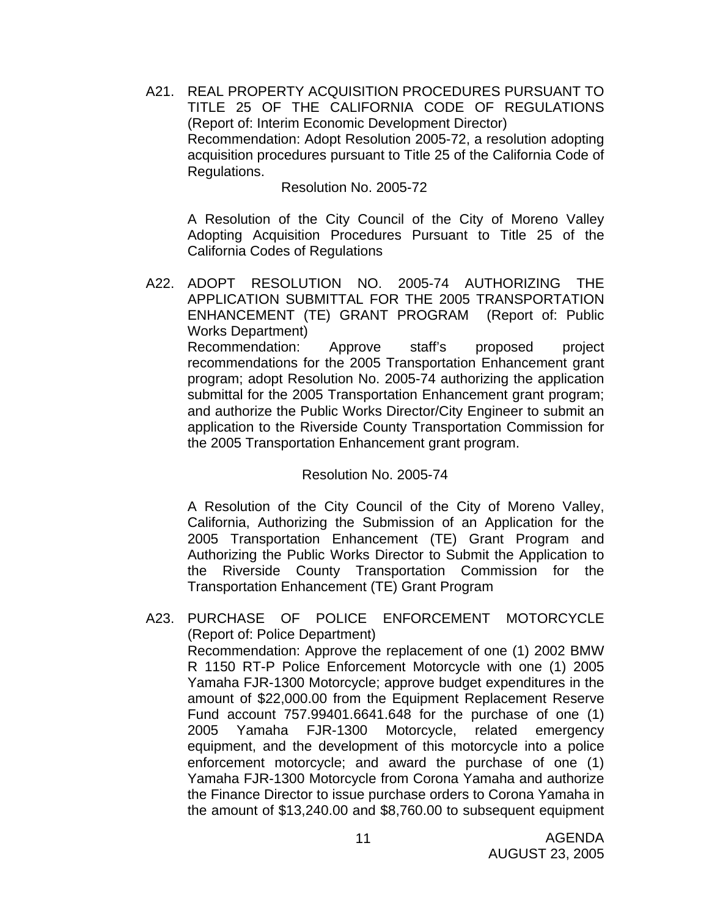A21. REAL PROPERTY ACQUISITION PROCEDURES PURSUANT TO TITLE 25 OF THE CALIFORNIA CODE OF REGULATIONS (Report of: Interim Economic Development Director) Recommendation: Adopt Resolution 2005-72, a resolution adopting acquisition procedures pursuant to Title 25 of the California Code of Regulations.

#### Resolution No. 2005-72

A Resolution of the City Council of the City of Moreno Valley Adopting Acquisition Procedures Pursuant to Title 25 of the California Codes of Regulations

A22. ADOPT RESOLUTION NO. 2005-74 AUTHORIZING THE APPLICATION SUBMITTAL FOR THE 2005 TRANSPORTATION ENHANCEMENT (TE) GRANT PROGRAM (Report of: Public Works Department) Recommendation: Approve staff's proposed project recommendations for the 2005 Transportation Enhancement grant program; adopt Resolution No. 2005-74 authorizing the application submittal for the 2005 Transportation Enhancement grant program; and authorize the Public Works Director/City Engineer to submit an application to the Riverside County Transportation Commission for the 2005 Transportation Enhancement grant program.

### Resolution No. 2005-74

A Resolution of the City Council of the City of Moreno Valley, California, Authorizing the Submission of an Application for the 2005 Transportation Enhancement (TE) Grant Program and Authorizing the Public Works Director to Submit the Application to the Riverside County Transportation Commission for the Transportation Enhancement (TE) Grant Program

A23. PURCHASE OF POLICE ENFORCEMENT MOTORCYCLE (Report of: Police Department) Recommendation: Approve the replacement of one (1) 2002 BMW R 1150 RT-P Police Enforcement Motorcycle with one (1) 2005 Yamaha FJR-1300 Motorcycle; approve budget expenditures in the amount of \$22,000.00 from the Equipment Replacement Reserve Fund account 757.99401.6641.648 for the purchase of one (1) 2005 Yamaha FJR-1300 Motorcycle, related emergency equipment, and the development of this motorcycle into a police enforcement motorcycle; and award the purchase of one (1) Yamaha FJR-1300 Motorcycle from Corona Yamaha and authorize the Finance Director to issue purchase orders to Corona Yamaha in the amount of \$13,240.00 and \$8,760.00 to subsequent equipment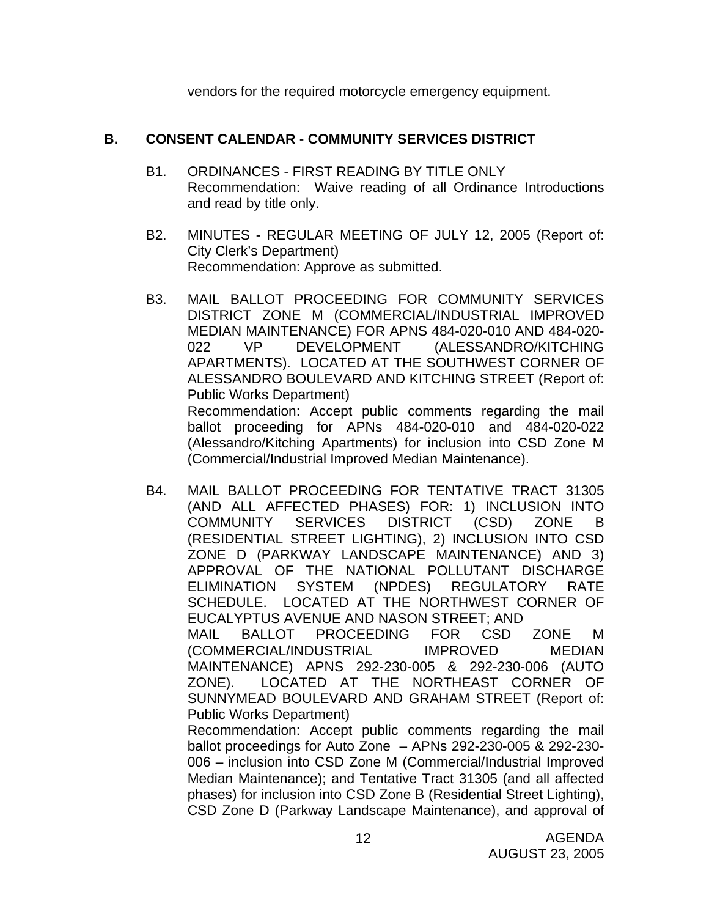vendors for the required motorcycle emergency equipment.

# **B. CONSENT CALENDAR** - **COMMUNITY SERVICES DISTRICT**

- B1. ORDINANCES FIRST READING BY TITLE ONLY Recommendation: Waive reading of all Ordinance Introductions and read by title only.
- B2. MINUTES REGULAR MEETING OF JULY 12, 2005 (Report of: City Clerk's Department) Recommendation: Approve as submitted.
- B3. MAIL BALLOT PROCEEDING FOR COMMUNITY SERVICES DISTRICT ZONE M (COMMERCIAL/INDUSTRIAL IMPROVED MEDIAN MAINTENANCE) FOR APNS 484-020-010 AND 484-020- 022 VP DEVELOPMENT (ALESSANDRO/KITCHING APARTMENTS). LOCATED AT THE SOUTHWEST CORNER OF ALESSANDRO BOULEVARD AND KITCHING STREET (Report of: Public Works Department) Recommendation: Accept public comments regarding the mail ballot proceeding for APNs 484-020-010 and 484-020-022 (Alessandro/Kitching Apartments) for inclusion into CSD Zone M

(Commercial/Industrial Improved Median Maintenance).

B4. MAIL BALLOT PROCEEDING FOR TENTATIVE TRACT 31305 (AND ALL AFFECTED PHASES) FOR: 1) INCLUSION INTO COMMUNITY SERVICES DISTRICT (CSD) ZONE B (RESIDENTIAL STREET LIGHTING), 2) INCLUSION INTO CSD ZONE D (PARKWAY LANDSCAPE MAINTENANCE) AND 3) APPROVAL OF THE NATIONAL POLLUTANT DISCHARGE ELIMINATION SYSTEM (NPDES) REGULATORY RATE SCHEDULE. LOCATED AT THE NORTHWEST CORNER OF EUCALYPTUS AVENUE AND NASON STREET; AND MAIL BALLOT PROCEEDING FOR CSD ZONE M (COMMERCIAL/INDUSTRIAL IMPROVED MEDIAN MAINTENANCE) APNS 292-230-005 & 292-230-006 (AUTO ZONE). LOCATED AT THE NORTHEAST CORNER OF SUNNYMEAD BOULEVARD AND GRAHAM STREET (Report of: Public Works Department) Recommendation: Accept public comments regarding the mail

ballot proceedings for Auto Zone – APNs 292-230-005 & 292-230- 006 – inclusion into CSD Zone M (Commercial/Industrial Improved Median Maintenance); and Tentative Tract 31305 (and all affected phases) for inclusion into CSD Zone B (Residential Street Lighting), CSD Zone D (Parkway Landscape Maintenance), and approval of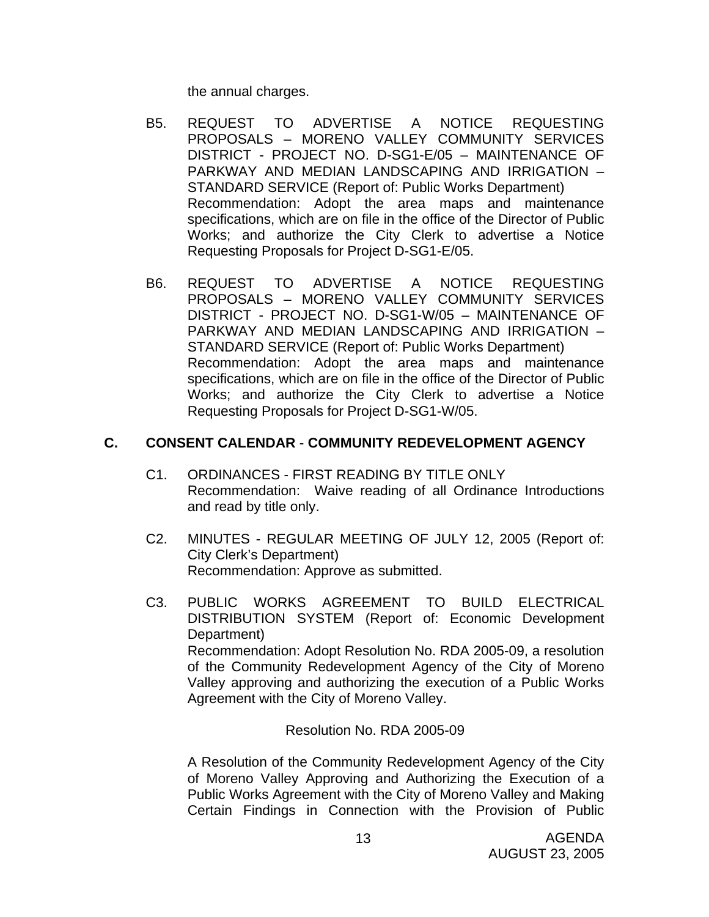the annual charges.

- B5. REQUEST TO ADVERTISE A NOTICE REQUESTING PROPOSALS – MORENO VALLEY COMMUNITY SERVICES DISTRICT - PROJECT NO. D-SG1-E/05 – MAINTENANCE OF PARKWAY AND MEDIAN LANDSCAPING AND IRRIGATION – STANDARD SERVICE (Report of: Public Works Department) Recommendation: Adopt the area maps and maintenance specifications, which are on file in the office of the Director of Public Works; and authorize the City Clerk to advertise a Notice Requesting Proposals for Project D-SG1-E/05.
- B6. REQUEST TO ADVERTISE A NOTICE REQUESTING PROPOSALS – MORENO VALLEY COMMUNITY SERVICES DISTRICT - PROJECT NO. D-SG1-W/05 – MAINTENANCE OF PARKWAY AND MEDIAN LANDSCAPING AND IRRIGATION – STANDARD SERVICE (Report of: Public Works Department) Recommendation: Adopt the area maps and maintenance specifications, which are on file in the office of the Director of Public Works; and authorize the City Clerk to advertise a Notice Requesting Proposals for Project D-SG1-W/05.

### **C. CONSENT CALENDAR** - **COMMUNITY REDEVELOPMENT AGENCY**

- C1. ORDINANCES FIRST READING BY TITLE ONLY Recommendation: Waive reading of all Ordinance Introductions and read by title only.
- C2. MINUTES REGULAR MEETING OF JULY 12, 2005 (Report of: City Clerk's Department) Recommendation: Approve as submitted.
- C3. PUBLIC WORKS AGREEMENT TO BUILD ELECTRICAL DISTRIBUTION SYSTEM (Report of: Economic Development Department) Recommendation: Adopt Resolution No. RDA 2005-09, a resolution of the Community Redevelopment Agency of the City of Moreno Valley approving and authorizing the execution of a Public Works Agreement with the City of Moreno Valley.

Resolution No. RDA 2005-09

 A Resolution of the Community Redevelopment Agency of the City of Moreno Valley Approving and Authorizing the Execution of a Public Works Agreement with the City of Moreno Valley and Making Certain Findings in Connection with the Provision of Public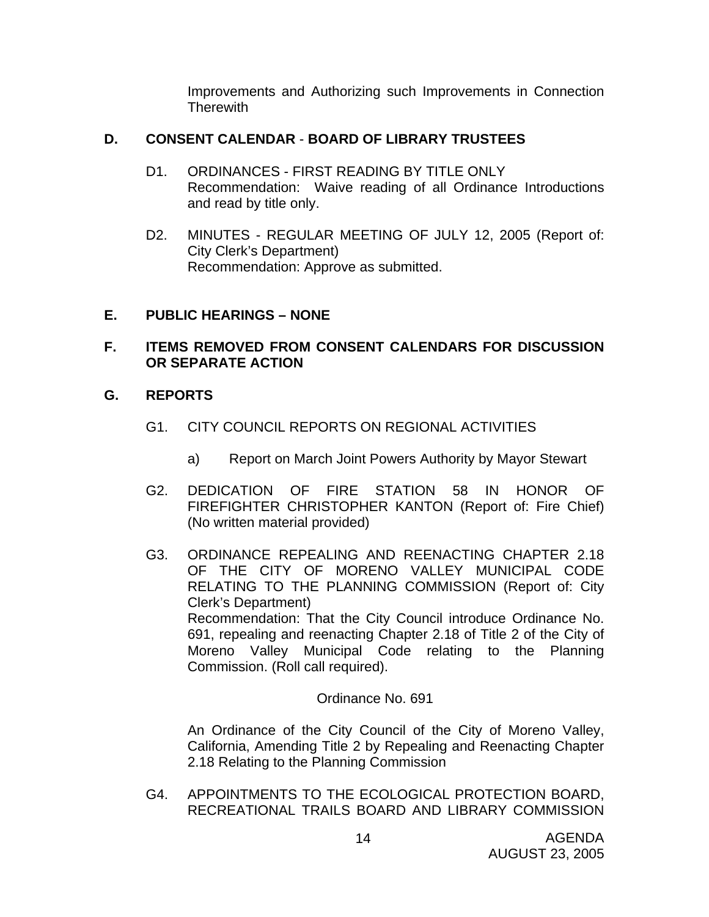Improvements and Authorizing such Improvements in Connection **Therewith** 

### **D. CONSENT CALENDAR** - **BOARD OF LIBRARY TRUSTEES**

- D1. ORDINANCES FIRST READING BY TITLE ONLY Recommendation: Waive reading of all Ordinance Introductions and read by title only.
- D2. MINUTES REGULAR MEETING OF JULY 12, 2005 (Report of: City Clerk's Department) Recommendation: Approve as submitted.

# **E. PUBLIC HEARINGS – NONE**

# **F. ITEMS REMOVED FROM CONSENT CALENDARS FOR DISCUSSION OR SEPARATE ACTION**

# **G. REPORTS**

- G1. CITY COUNCIL REPORTS ON REGIONAL ACTIVITIES
	- a) Report on March Joint Powers Authority by Mayor Stewart
- G2. DEDICATION OF FIRE STATION 58 IN HONOR OF FIREFIGHTER CHRISTOPHER KANTON (Report of: Fire Chief) (No written material provided)
- G3. ORDINANCE REPEALING AND REENACTING CHAPTER 2.18 OF THE CITY OF MORENO VALLEY MUNICIPAL CODE RELATING TO THE PLANNING COMMISSION (Report of: City Clerk's Department) Recommendation: That the City Council introduce Ordinance No. 691, repealing and reenacting Chapter 2.18 of Title 2 of the City of Moreno Valley Municipal Code relating to the Planning Commission. (Roll call required).

### Ordinance No. 691

 An Ordinance of the City Council of the City of Moreno Valley, California, Amending Title 2 by Repealing and Reenacting Chapter 2.18 Relating to the Planning Commission

G4. APPOINTMENTS TO THE ECOLOGICAL PROTECTION BOARD, RECREATIONAL TRAILS BOARD AND LIBRARY COMMISSION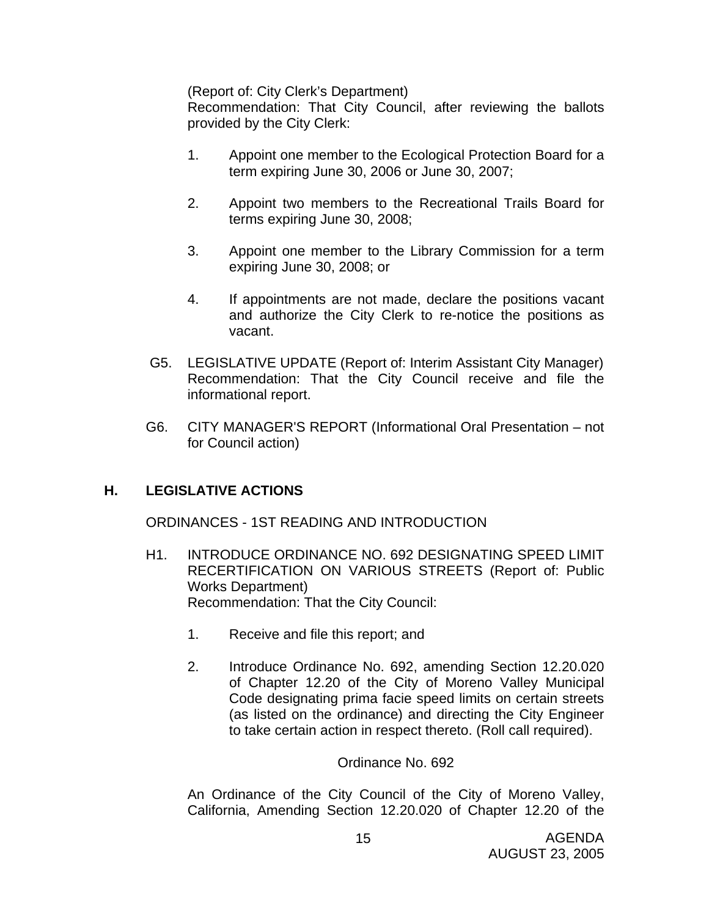(Report of: City Clerk's Department)

 Recommendation: That City Council, after reviewing the ballots provided by the City Clerk:

- 1. Appoint one member to the Ecological Protection Board for a term expiring June 30, 2006 or June 30, 2007;
- 2. Appoint two members to the Recreational Trails Board for terms expiring June 30, 2008;
- 3. Appoint one member to the Library Commission for a term expiring June 30, 2008; or
- 4. If appointments are not made, declare the positions vacant and authorize the City Clerk to re-notice the positions as vacant.
- G5. LEGISLATIVE UPDATE (Report of: Interim Assistant City Manager) Recommendation: That the City Council receive and file the informational report.
- G6. CITY MANAGER'S REPORT (Informational Oral Presentation not for Council action)

# **H. LEGISLATIVE ACTIONS**

ORDINANCES - 1ST READING AND INTRODUCTION

- H1. INTRODUCE ORDINANCE NO. 692 DESIGNATING SPEED LIMIT RECERTIFICATION ON VARIOUS STREETS (Report of: Public Works Department) Recommendation: That the City Council:
	- 1. Receive and file this report; and
	- 2. Introduce Ordinance No. 692, amending Section 12.20.020 of Chapter 12.20 of the City of Moreno Valley Municipal Code designating prima facie speed limits on certain streets (as listed on the ordinance) and directing the City Engineer to take certain action in respect thereto. (Roll call required).

### Ordinance No. 692

An Ordinance of the City Council of the City of Moreno Valley, California, Amending Section 12.20.020 of Chapter 12.20 of the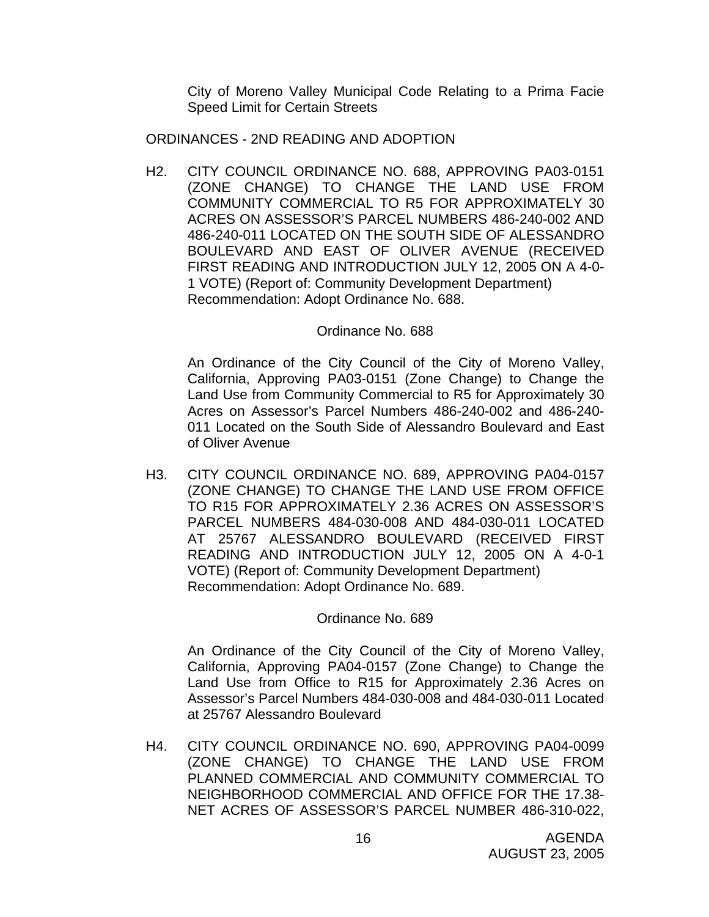City of Moreno Valley Municipal Code Relating to a Prima Facie Speed Limit for Certain Streets

ORDINANCES - 2ND READING AND ADOPTION

H2. CITY COUNCIL ORDINANCE NO. 688, APPROVING PA03-0151 (ZONE CHANGE) TO CHANGE THE LAND USE FROM COMMUNITY COMMERCIAL TO R5 FOR APPROXIMATELY 30 ACRES ON ASSESSOR'S PARCEL NUMBERS 486-240-002 AND 486-240-011 LOCATED ON THE SOUTH SIDE OF ALESSANDRO BOULEVARD AND EAST OF OLIVER AVENUE (RECEIVED FIRST READING AND INTRODUCTION JULY 12, 2005 ON A 4-0- 1 VOTE) (Report of: Community Development Department) Recommendation: Adopt Ordinance No. 688.

### Ordinance No. 688

 An Ordinance of the City Council of the City of Moreno Valley, California, Approving PA03-0151 (Zone Change) to Change the Land Use from Community Commercial to R5 for Approximately 30 Acres on Assessor's Parcel Numbers 486-240-002 and 486-240- 011 Located on the South Side of Alessandro Boulevard and East of Oliver Avenue

H3. CITY COUNCIL ORDINANCE NO. 689, APPROVING PA04-0157 (ZONE CHANGE) TO CHANGE THE LAND USE FROM OFFICE TO R15 FOR APPROXIMATELY 2.36 ACRES ON ASSESSOR'S PARCEL NUMBERS 484-030-008 AND 484-030-011 LOCATED AT 25767 ALESSANDRO BOULEVARD (RECEIVED FIRST READING AND INTRODUCTION JULY 12, 2005 ON A 4-0-1 VOTE) (Report of: Community Development Department) Recommendation: Adopt Ordinance No. 689.

### Ordinance No. 689

 An Ordinance of the City Council of the City of Moreno Valley, California, Approving PA04-0157 (Zone Change) to Change the Land Use from Office to R15 for Approximately 2.36 Acres on Assessor's Parcel Numbers 484-030-008 and 484-030-011 Located at 25767 Alessandro Boulevard

H4. CITY COUNCIL ORDINANCE NO. 690, APPROVING PA04-0099 (ZONE CHANGE) TO CHANGE THE LAND USE FROM PLANNED COMMERCIAL AND COMMUNITY COMMERCIAL TO NEIGHBORHOOD COMMERCIAL AND OFFICE FOR THE 17.38- NET ACRES OF ASSESSOR'S PARCEL NUMBER 486-310-022,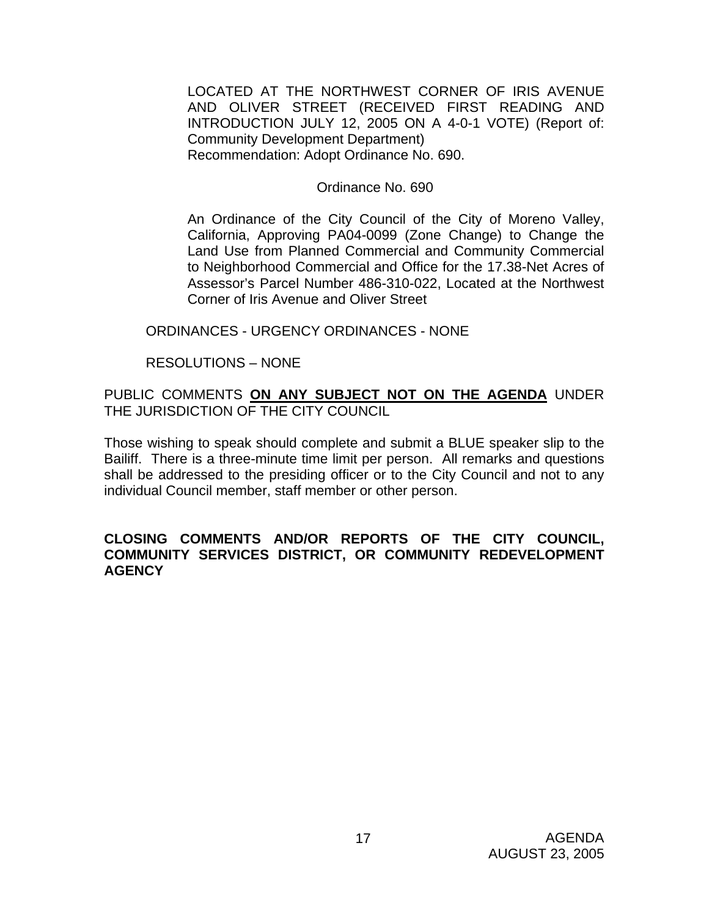LOCATED AT THE NORTHWEST CORNER OF IRIS AVENUE AND OLIVER STREET (RECEIVED FIRST READING AND INTRODUCTION JULY 12, 2005 ON A 4-0-1 VOTE) (Report of: Community Development Department) Recommendation: Adopt Ordinance No. 690.

#### Ordinance No. 690

 An Ordinance of the City Council of the City of Moreno Valley, California, Approving PA04-0099 (Zone Change) to Change the Land Use from Planned Commercial and Community Commercial to Neighborhood Commercial and Office for the 17.38-Net Acres of Assessor's Parcel Number 486-310-022, Located at the Northwest Corner of Iris Avenue and Oliver Street

#### ORDINANCES - URGENCY ORDINANCES - NONE

### RESOLUTIONS – NONE

PUBLIC COMMENTS **ON ANY SUBJECT NOT ON THE AGENDA** UNDER THE JURISDICTION OF THE CITY COUNCIL

Those wishing to speak should complete and submit a BLUE speaker slip to the Bailiff. There is a three-minute time limit per person. All remarks and questions shall be addressed to the presiding officer or to the City Council and not to any individual Council member, staff member or other person.

#### **CLOSING COMMENTS AND/OR REPORTS OF THE CITY COUNCIL, COMMUNITY SERVICES DISTRICT, OR COMMUNITY REDEVELOPMENT AGENCY**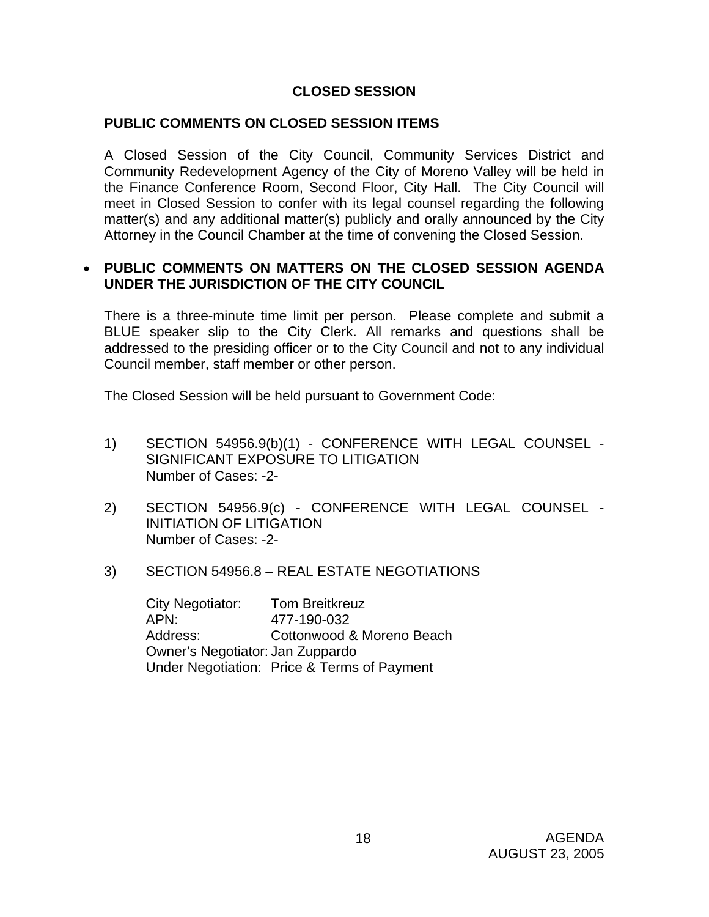# **CLOSED SESSION**

### **PUBLIC COMMENTS ON CLOSED SESSION ITEMS**

A Closed Session of the City Council, Community Services District and Community Redevelopment Agency of the City of Moreno Valley will be held in the Finance Conference Room, Second Floor, City Hall. The City Council will meet in Closed Session to confer with its legal counsel regarding the following matter(s) and any additional matter(s) publicly and orally announced by the City Attorney in the Council Chamber at the time of convening the Closed Session.

### • **PUBLIC COMMENTS ON MATTERS ON THE CLOSED SESSION AGENDA UNDER THE JURISDICTION OF THE CITY COUNCIL**

There is a three-minute time limit per person. Please complete and submit a BLUE speaker slip to the City Clerk. All remarks and questions shall be addressed to the presiding officer or to the City Council and not to any individual Council member, staff member or other person.

The Closed Session will be held pursuant to Government Code:

- 1) SECTION 54956.9(b)(1) CONFERENCE WITH LEGAL COUNSEL SIGNIFICANT EXPOSURE TO LITIGATION Number of Cases: -2-
- 2) SECTION 54956.9(c) CONFERENCE WITH LEGAL COUNSEL INITIATION OF LITIGATION Number of Cases: -2-
- 3) SECTION 54956.8 REAL ESTATE NEGOTIATIONS

 City Negotiator: Tom Breitkreuz APN: 477-190-032 Address: Cottonwood & Moreno Beach Owner's Negotiator: Jan Zuppardo Under Negotiation: Price & Terms of Payment